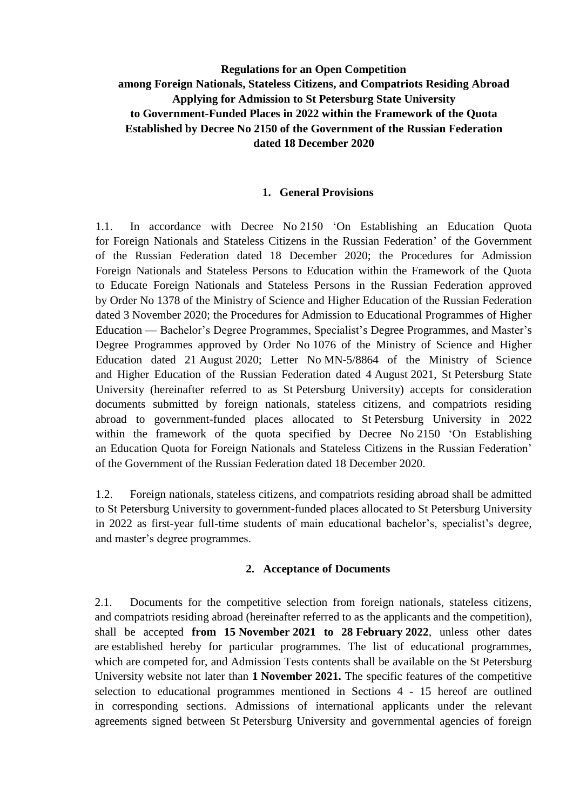# **Regulations for an Open Competition among Foreign Nationals, Stateless Citizens, and Compatriots Residing Abroad Applying for Admission to St Petersburg State University to Government-Funded Places in 2022 within the Framework of the Quota Established by Decree No 2150 of the Government of the Russian Federation dated 18 December 2020**

#### **1. General Provisions**

1.1. In accordance with Decree No 2150 'On Establishing an Education Quota for Foreign Nationals and Stateless Citizens in the Russian Federation' of the Government of the Russian Federation dated 18 December 2020; the Procedures for Admission Foreign Nationals and Stateless Persons to Education within the Framework of the Quota to Educate Foreign Nationals and Stateless Persons in the Russian Federation approved by Order No 1378 of the Ministry of Science and Higher Education of the Russian Federation dated 3 November 2020; the Procedures for Admission to Educational Programmes of Higher Education — Bachelor's Degree Programmes, Specialist's Degree Programmes, and Master's Degree Programmes approved by Order No 1076 of the Ministry of Science and Higher Education dated 21 August 2020; Letter No MN-5/8864 of the Ministry of Science and Higher Education of the Russian Federation dated 4 August 2021, St Petersburg State University (hereinafter referred to as St Petersburg University) accepts for consideration documents submitted by foreign nationals, stateless citizens, and compatriots residing abroad to government-funded places allocated to St Petersburg University in 2022 within the framework of the quota specified by Decree No 2150 'On Establishing an Education Quota for Foreign Nationals and Stateless Citizens in the Russian Federation' of the Government of the Russian Federation dated 18 December 2020.

1.2. Foreign nationals, stateless citizens, and compatriots residing abroad shall be admitted to St Petersburg University to government-funded places allocated to St Petersburg University in 2022 as first-year full-time students of main educational bachelor's, specialist's degree, and master's degree programmes.

#### **2. Acceptance of Documents**

2.1. Documents for the competitive selection from foreign nationals, stateless citizens, and compatriots residing abroad (hereinafter referred to as the applicants and the competition), shall be accepted **from 15 November 2021 to 28 February 2022**, unless other dates are established hereby for particular programmes. The list of educational programmes, which are competed for, and Admission Tests contents shall be available on the St Petersburg University website not later than **1 November 2021.** The specific features of the competitive selection to educational programmes mentioned in Sections 4 - 15 hereof are outlined in corresponding sections. Admissions of international applicants under the relevant agreements signed between St Petersburg University and governmental agencies of foreign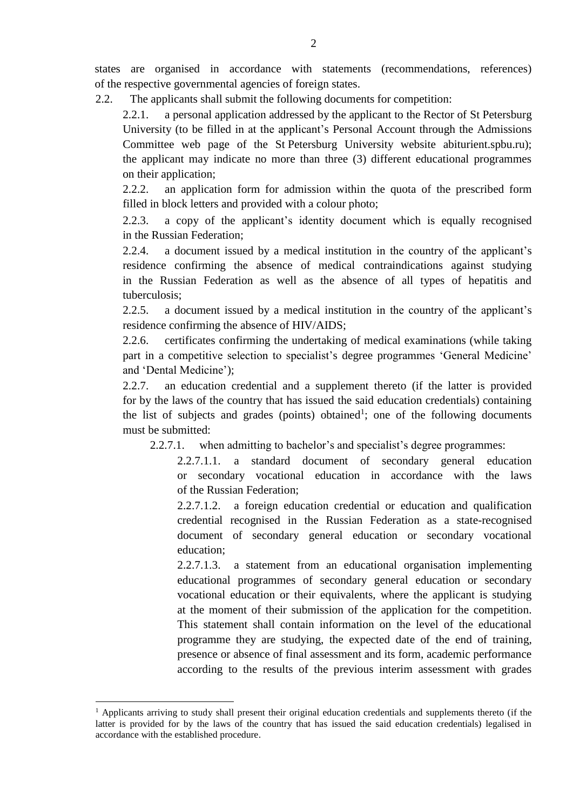states are organised in accordance with statements (recommendations, references) of the respective governmental agencies of foreign states.

2.2. The applicants shall submit the following documents for competition:

2.2.1. a personal application addressed by the applicant to the Rector of St Petersburg University (to be filled in at the applicant's Personal Account through the Admissions Committee web page of the St Petersburg University website abiturient.spbu.ru); the applicant may indicate no more than three (3) different educational programmes on their application;

2.2.2. an application form for admission within the quota of the prescribed form filled in block letters and provided with a colour photo;

2.2.3. a copy of the applicant's identity document which is equally recognised in the Russian Federation;

2.2.4. a document issued by a medical institution in the country of the applicant's residence confirming the absence of medical contraindications against studying in the Russian Federation as well as the absence of all types of hepatitis and tuberculosis;

2.2.5. a document issued by a medical institution in the country of the applicant's residence confirming the absence of HIV/AIDS;

2.2.6. certificates confirming the undertaking of medical examinations (while taking part in a competitive selection to specialist's degree programmes 'General Medicine' and 'Dental Medicine');

2.2.7. an education credential and a supplement thereto (if the latter is provided for by the laws of the country that has issued the said education credentials) containing the list of subjects and grades (points) obtained<sup>1</sup>; one of the following documents must be submitted:

2.2.7.1. when admitting to bachelor's and specialist's degree programmes:

2.2.7.1.1. a standard document of secondary general education or secondary vocational education in accordance with the laws of the Russian Federation;

2.2.7.1.2. a foreign education credential or education and qualification credential recognised in the Russian Federation as a state-recognised document of secondary general education or secondary vocational education;

2.2.7.1.3. a statement from an educational organisation implementing educational programmes of secondary general education or secondary vocational education or their equivalents, where the applicant is studying at the moment of their submission of the application for the competition. This statement shall contain information on the level of the educational programme they are studying, the expected date of the end of training, presence or absence of final assessment and its form, academic performance according to the results of the previous interim assessment with grades

 $\overline{a}$ 

 $<sup>1</sup>$  Applicants arriving to study shall present their original education credentials and supplements thereto (if the</sup> latter is provided for by the laws of the country that has issued the said education credentials) legalised in accordance with the established procedure.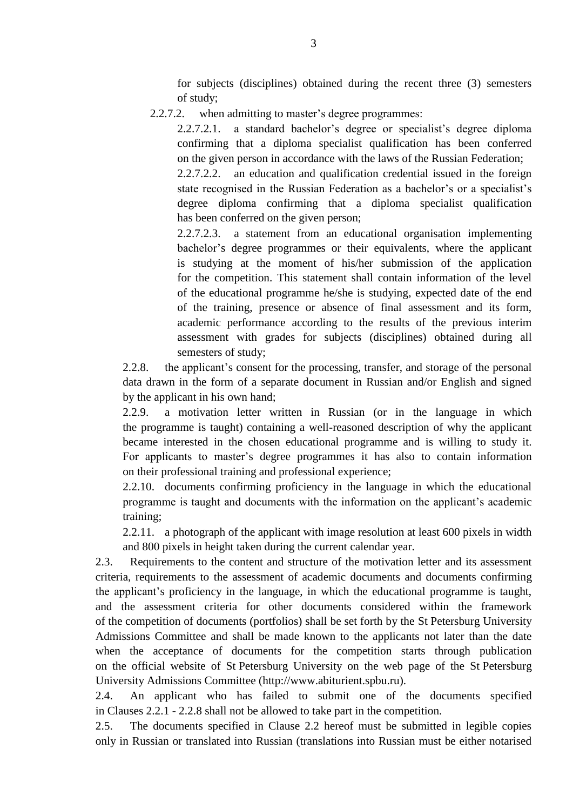for subjects (disciplines) obtained during the recent three (3) semesters of study;

2.2.7.2. when admitting to master's degree programmes:

2.2.7.2.1. a standard bachelor's degree or specialist's degree diploma confirming that a diploma specialist qualification has been conferred on the given person in accordance with the laws of the Russian Federation;

2.2.7.2.2. an education and qualification credential issued in the foreign state recognised in the Russian Federation as a bachelor's or a specialist's degree diploma confirming that a diploma specialist qualification has been conferred on the given person;

2.2.7.2.3. a statement from an educational organisation implementing bachelor's degree programmes or their equivalents, where the applicant is studying at the moment of his/her submission of the application for the competition. This statement shall contain information of the level of the educational programme he/she is studying, expected date of the end of the training, presence or absence of final assessment and its form, academic performance according to the results of the previous interim assessment with grades for subjects (disciplines) obtained during all semesters of study;

2.2.8. the applicant's consent for the processing, transfer, and storage of the personal data drawn in the form of a separate document in Russian and/or English and signed by the applicant in his own hand;

2.2.9. a motivation letter written in Russian (or in the language in which the programme is taught) containing a well-reasoned description of why the applicant became interested in the chosen educational programme and is willing to study it. For applicants to master's degree programmes it has also to contain information on their professional training and professional experience;

2.2.10. documents confirming proficiency in the language in which the educational programme is taught and documents with the information on the applicant's academic training;

2.2.11. a photograph of the applicant with image resolution at least 600 pixels in width and 800 pixels in height taken during the current calendar year.

2.3. Requirements to the content and structure of the motivation letter and its assessment criteria, requirements to the assessment of academic documents and documents confirming the applicant's proficiency in the language, in which the educational programme is taught, and the assessment criteria for other documents considered within the framework of the competition of documents (portfolios) shall be set forth by the St Petersburg University Admissions Committee and shall be made known to the applicants not later than the date when the acceptance of documents for the competition starts through publication on the official website of St Petersburg University on the web page of the St Petersburg University Admissions Committee (http://www.abiturient.spbu.ru).

2.4. An applicant who has failed to submit one of the documents specified in Clauses 2.2.1 - 2.2.8 shall not be allowed to take part in the competition.

2.5. The documents specified in Clause 2.2 hereof must be submitted in legible copies only in Russian or translated into Russian (translations into Russian must be either notarised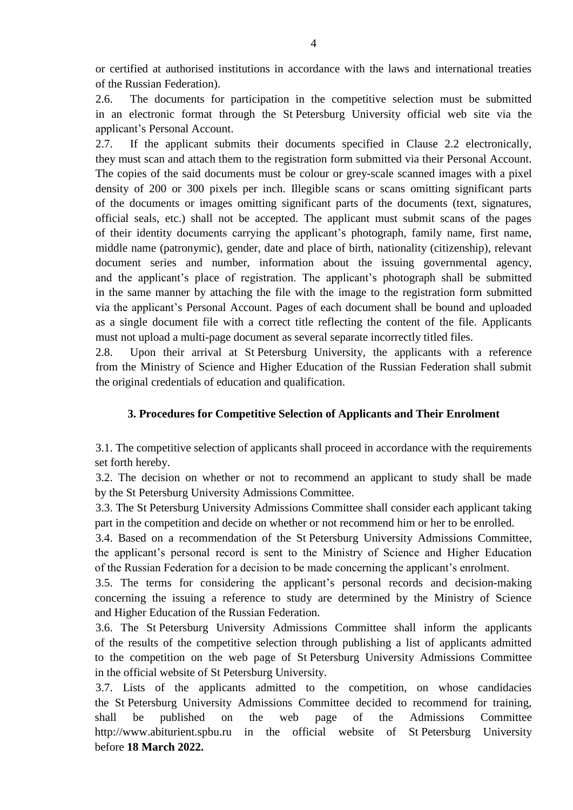or certified at authorised institutions in accordance with the laws and international treaties of the Russian Federation).

2.6. The documents for participation in the competitive selection must be submitted in an electronic format through the St Petersburg University official web site via the applicant's Personal Account.

2.7. If the applicant submits their documents specified in Clause 2.2 electronically, they must scan and attach them to the registration form submitted via their Personal Account. The copies of the said documents must be colour or grey-scale scanned images with a pixel density of 200 or 300 pixels per inch. Illegible scans or scans omitting significant parts of the documents or images omitting significant parts of the documents (text, signatures, official seals, etc.) shall not be accepted. The applicant must submit scans of the pages of their identity documents carrying the applicant's photograph, family name, first name, middle name (patronymic), gender, date and place of birth, nationality (citizenship), relevant document series and number, information about the issuing governmental agency, and the applicant's place of registration. The applicant's photograph shall be submitted in the same manner by attaching the file with the image to the registration form submitted via the applicant's Personal Account. Pages of each document shall be bound and uploaded as a single document file with a correct title reflecting the content of the file. Applicants must not upload a multi-page document as several separate incorrectly titled files.

2.8. Upon their arrival at St Petersburg University, the applicants with a reference from the Ministry of Science and Higher Education of the Russian Federation shall submit the original credentials of education and qualification.

#### **3. Procedures for Competitive Selection of Applicants and Their Enrolment**

3.1. The competitive selection of applicants shall proceed in accordance with the requirements set forth hereby.

3.2. The decision on whether or not to recommend an applicant to study shall be made by the St Petersburg University Admissions Committee.

3.3. The St Petersburg University Admissions Committee shall consider each applicant taking part in the competition and decide on whether or not recommend him or her to be enrolled.

3.4. Based on a recommendation of the St Petersburg University Admissions Committee, the applicant's personal record is sent to the Ministry of Science and Higher Education of the Russian Federation for a decision to be made concerning the applicant's enrolment.

3.5. The terms for considering the applicant's personal records and decision-making concerning the issuing a reference to study are determined by the Ministry of Science and Higher Education of the Russian Federation.

3.6. The St Petersburg University Admissions Committee shall inform the applicants of the results of the competitive selection through publishing a list of applicants admitted to the competition on the web page of St Petersburg University Admissions Committee in the official website of St Petersburg University.

3.7. Lists of the applicants admitted to the competition, on whose candidacies the St Petersburg University Admissions Committee decided to recommend for training, shall be published on the web page of the Admissions Committee http://www.abiturient.spbu.ru in the official website of St Petersburg University before **18 March 2022.**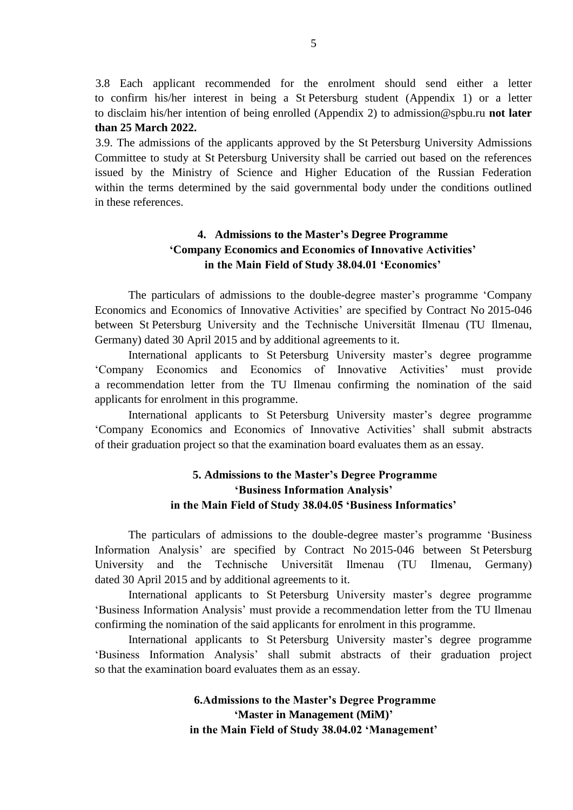3.8 Each applicant recommended for the enrolment should send either a letter to confirm his/her interest in being a St Petersburg student (Appendix 1) or a letter to disclaim his/her intention of being enrolled (Appendix 2) to admission@spbu.ru **not later than 25 March 2022.**

3.9. The admissions of the applicants approved by the St Petersburg University Admissions Committee to study at St Petersburg University shall be carried out based on the references issued by the Ministry of Science and Higher Education of the Russian Federation within the terms determined by the said governmental body under the conditions outlined in these references.

### **4. Admissions to the Master's Degree Programme 'Company Economics and Economics of Innovative Activities' in the Main Field of Study 38.04.01 'Economics'**

The particulars of admissions to the double-degree master's programme 'Company Economics and Economics of Innovative Activities' are specified by Contract No 2015-046 between St Petersburg University and the Technische Universität Ilmenau (TU Ilmenau, Germany) dated 30 April 2015 and by additional agreements to it.

International applicants to St Petersburg University master's degree programme 'Company Economics and Economics of Innovative Activities' must provide a recommendation letter from the TU Ilmenau confirming the nomination of the said applicants for enrolment in this programme.

International applicants to St Petersburg University master's degree programme 'Company Economics and Economics of Innovative Activities' shall submit abstracts of their graduation project so that the examination board evaluates them as an essay.

### **5. Admissions to the Master's Degree Programme 'Business Information Analysis' in the Main Field of Study 38.04.05 'Business Informatics'**

The particulars of admissions to the double-degree master's programme 'Business Information Analysis' are specified by Contract No 2015-046 between St Petersburg University and the Technische Universität Ilmenau (TU Ilmenau, Germany) dated 30 April 2015 and by additional agreements to it.

International applicants to St Petersburg University master's degree programme 'Business Information Analysis' must provide a recommendation letter from the TU Ilmenau confirming the nomination of the said applicants for enrolment in this programme.

International applicants to St Petersburg University master's degree programme 'Business Information Analysis' shall submit abstracts of their graduation project so that the examination board evaluates them as an essay.

### **6.Admissions to the Master's Degree Programme 'Master in Management (MiM)' in the Main Field of Study 38.04.02 'Management'**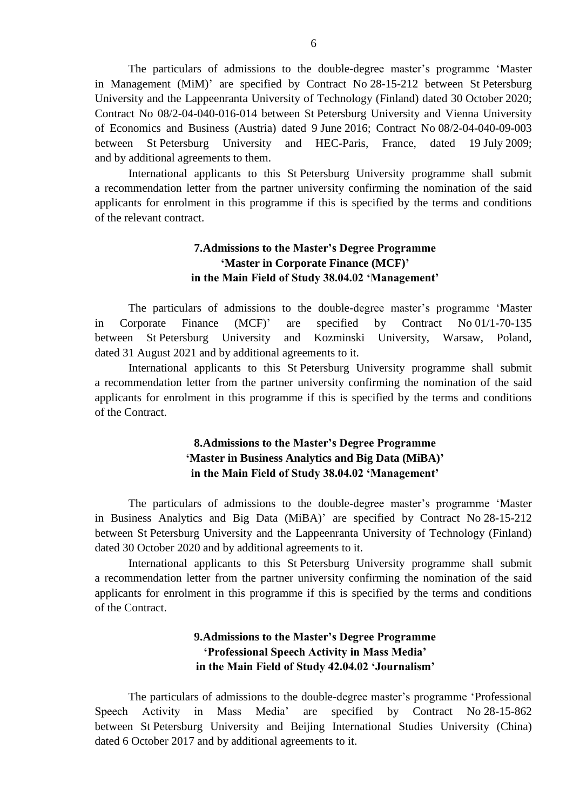The particulars of admissions to the double-degree master's programme 'Master in Management (MiM)' are specified by Contract No 28-15-212 between St Petersburg University and the Lappeenranta University of Technology (Finland) dated 30 October 2020; Contract No 08/2-04-040-016-014 between St Petersburg University and Vienna University of Economics and Business (Austria) dated 9 June 2016; Contract No 08/2-04-040-09-003 between St Petersburg University and HEC-Paris, France, dated 19 July 2009; and by additional agreements to them.

International applicants to this St Petersburg University programme shall submit a recommendation letter from the partner university confirming the nomination of the said applicants for enrolment in this programme if this is specified by the terms and conditions of the relevant contract.

### **7.Admissions to the Master's Degree Programme 'Master in Corporate Finance (MCF)' in the Main Field of Study 38.04.02 'Management'**

The particulars of admissions to the double-degree master's programme 'Master in Corporate Finance (MCF)' are specified by Contract No 01/1-70-135 between St Petersburg University and Kozminski University, Warsaw, Poland, dated 31 August 2021 and by additional agreements to it.

International applicants to this St Petersburg University programme shall submit a recommendation letter from the partner university confirming the nomination of the said applicants for enrolment in this programme if this is specified by the terms and conditions of the Contract.

## **8.Admissions to the Master's Degree Programme 'Master in Business Analytics and Big Data (MiBA)' in the Main Field of Study 38.04.02 'Management'**

The particulars of admissions to the double-degree master's programme 'Master in Business Analytics and Big Data (MiBA)' are specified by Contract No 28-15-212 between St Petersburg University and the Lappeenranta University of Technology (Finland) dated 30 October 2020 and by additional agreements to it.

International applicants to this St Petersburg University programme shall submit a recommendation letter from the partner university confirming the nomination of the said applicants for enrolment in this programme if this is specified by the terms and conditions of the Contract.

## **9.Admissions to the Master's Degree Programme 'Professional Speech Activity in Mass Media' in the Main Field of Study 42.04.02 'Journalism'**

The particulars of admissions to the double-degree master's programme 'Professional Speech Activity in Mass Media' are specified by Contract No 28-15-862 between St Petersburg University and Beijing International Studies University (China) dated 6 October 2017 and by additional agreements to it.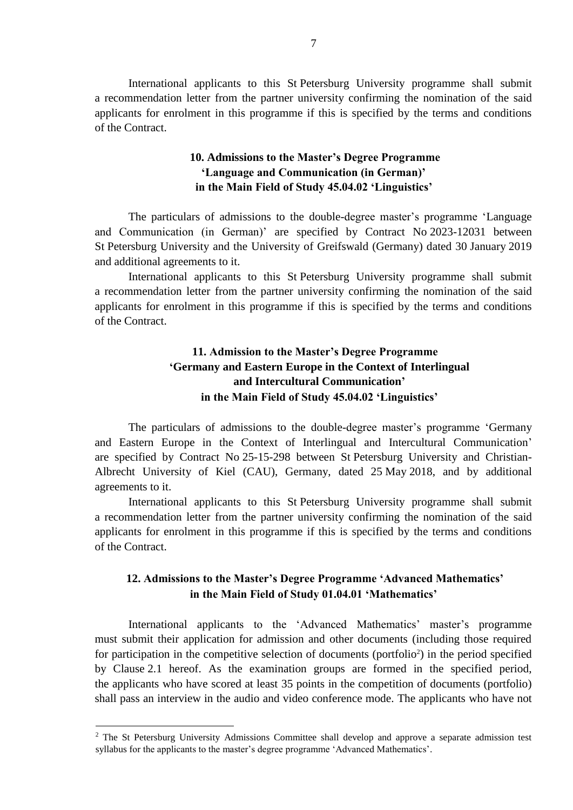International applicants to this St Petersburg University programme shall submit a recommendation letter from the partner university confirming the nomination of the said applicants for enrolment in this programme if this is specified by the terms and conditions of the Contract.

#### **10. Admissions to the Master's Degree Programme 'Language and Communication (in German)' in the Main Field of Study 45.04.02 'Linguistics'**

The particulars of admissions to the double-degree master's programme 'Language and Communication (in German)' are specified by Contract No 2023-12031 between St Petersburg University and the University of Greifswald (Germany) dated 30 January 2019 and additional agreements to it.

International applicants to this St Petersburg University programme shall submit a recommendation letter from the partner university confirming the nomination of the said applicants for enrolment in this programme if this is specified by the terms and conditions of the Contract.

# **11. Admission to the Master's Degree Programme 'Germany and Eastern Europe in the Context of Interlingual and Intercultural Communication' in the Main Field of Study 45.04.02 'Linguistics'**

The particulars of admissions to the double-degree master's programme 'Germany and Eastern Europe in the Context of Interlingual and Intercultural Communication' are specified by Contract No 25-15-298 between St Petersburg University and Christian-Albrecht University of Kiel (CAU), Germany, dated 25 May 2018, and by additional agreements to it.

International applicants to this St Petersburg University programme shall submit a recommendation letter from the partner university confirming the nomination of the said applicants for enrolment in this programme if this is specified by the terms and conditions of the Contract.

#### **12. Admissions to the Master's Degree Programme 'Advanced Mathematics' in the Main Field of Study 01.04.01 'Mathematics'**

International applicants to the 'Advanced Mathematics' master's programme must submit their application for admission and other documents (including those required for participation in the competitive selection of documents (portfolio<sup>2</sup>) in the period specified by Clause 2.1 hereof. As the examination groups are formed in the specified period, the applicants who have scored at least 35 points in the competition of documents (portfolio) shall pass an interview in the audio and video conference mode. The applicants who have not

 $\overline{a}$ 

<sup>&</sup>lt;sup>2</sup> The St Petersburg University Admissions Committee shall develop and approve a separate admission test syllabus for the applicants to the master's degree programme 'Advanced Mathematics'.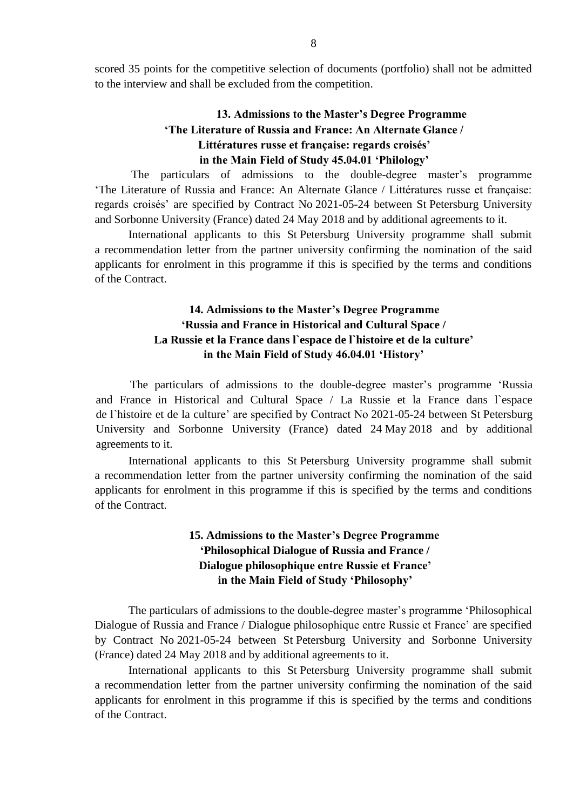scored 35 points for the competitive selection of documents (portfolio) shall not be admitted to the interview and shall be excluded from the competition.

## **13. Admissions to the Master's Degree Programme 'The Literature of Russia and France: An Alternate Glance / Littératures russe et française: regards croisés' in the Main Field of Study 45.04.01 'Philology'**

The particulars of admissions to the double-degree master's programme 'The Literature of Russia and France: An Alternate Glance / Littératures russe et française: regards croisés' are specified by Contract No 2021-05-24 between St Petersburg University and Sorbonne University (France) dated 24 May 2018 and by additional agreements to it.

International applicants to this St Petersburg University programme shall submit a recommendation letter from the partner university confirming the nomination of the said applicants for enrolment in this programme if this is specified by the terms and conditions of the Contract.

## **14. Admissions to the Master's Degree Programme 'Russia and France in Historical and Cultural Space / La Russie et la France dans l`espace de l`histoire et de la culture' in the Main Field of Study 46.04.01 'History'**

The particulars of admissions to the double-degree master's programme 'Russia and France in Historical and Cultural Space / La Russie et la France dans l`espace de l`histoire et de la culture' are specified by Contract No 2021-05-24 between St Petersburg University and Sorbonne University (France) dated 24 May 2018 and by additional agreements to it.

International applicants to this St Petersburg University programme shall submit a recommendation letter from the partner university confirming the nomination of the said applicants for enrolment in this programme if this is specified by the terms and conditions of the Contract.

## **15. Admissions to the Master's Degree Programme 'Philosophical Dialogue of Russia and France / Dialogue philosophique entre Russie et France' in the Main Field of Study 'Philosophy'**

The particulars of admissions to the double-degree master's programme 'Philosophical Dialogue of Russia and France / Dialogue philosophique entre Russie et France' are specified by Contract No 2021-05-24 between St Petersburg University and Sorbonne University (France) dated 24 May 2018 and by additional agreements to it.

International applicants to this St Petersburg University programme shall submit a recommendation letter from the partner university confirming the nomination of the said applicants for enrolment in this programme if this is specified by the terms and conditions of the Contract.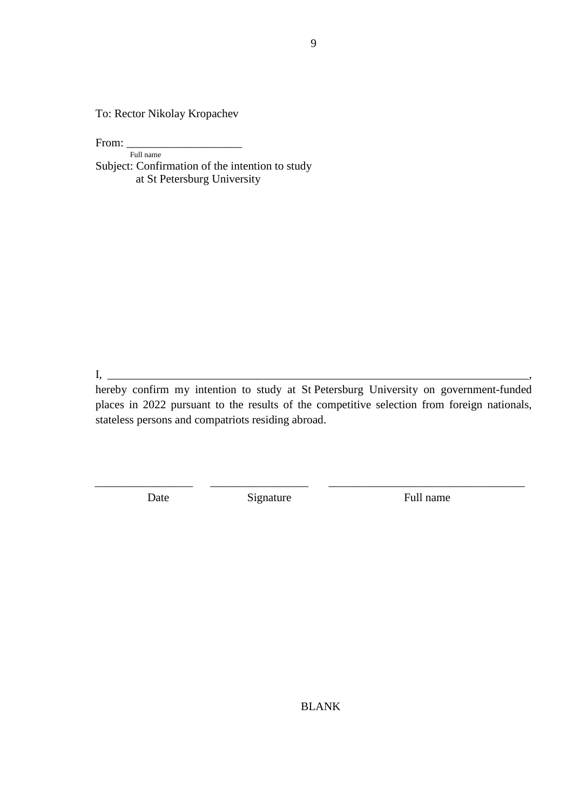To: Rector Nikolay Kropachev

From:

Full name Subject: Confirmation of the intention to study at St Petersburg University

 $I, \_$ 

hereby confirm my intention to study at St Petersburg University on government-funded places in 2022 pursuant to the results of the competitive selection from foreign nationals, stateless persons and compatriots residing abroad.

\_\_\_\_\_\_\_\_\_\_\_\_\_\_\_\_\_ \_\_\_\_\_\_\_\_\_\_\_\_\_\_\_\_\_ \_\_\_\_\_\_\_\_\_\_\_\_\_\_\_\_\_\_\_\_\_\_\_\_\_\_\_\_\_\_\_\_\_\_

Date Signature Full name

BLANK